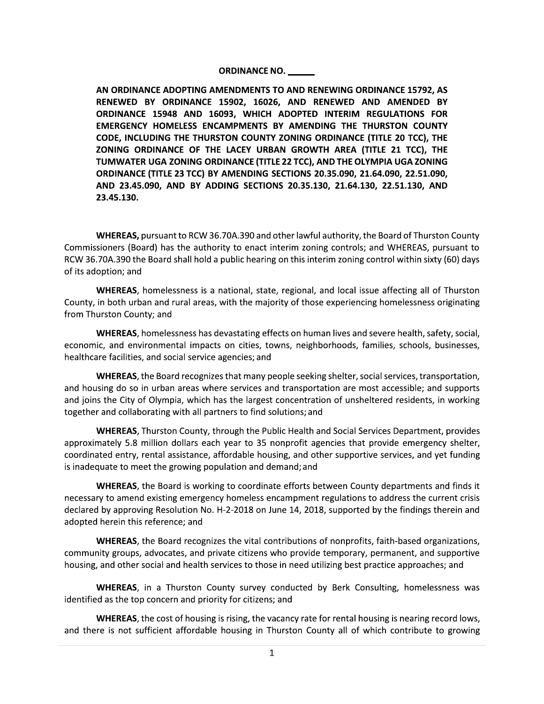## **ORDINANCE NO.**

AN ORDINANCE ADOPTING AMENDMENTS TO AND RENEWING ORDINANCE 15792, AS RENEWED BY ORDINANCE 15902, 16026, AND RENEWED AND AMENDED BY ORDINANCE 15948 AND 16093, WHICH ADOPTED INTERIM REGULATIONS FOR EMERGENCY HOMELESS ENCAMPMENTS BY AMENDING THE THURSTON COUNTY CODE, INCLUDING THE THURSTON COUNTY ZONING ORDINANCE (TITLE 20 TCC), THE ZONING ORDINANCE OF THE LACEY URBAN GROWTH AREA (TITLE 21 TCC), THE TUMWATER UGA ZONING ORDINANCE (TITLE 22 TCC), AND THE OLYMPIA UGA ZONING **ORDINANCE (TITLE 23 TCC) BY AMENDING SECTIONS 20.35.090, 21.64.090, 22.51.090,** AND 23.45.090, AND BY ADDING SECTIONS 20.35.130, 21.64.130, 22.51.130, AND 23.45.130.

WHEREAS, pursuant to RCW 36.70A.390 and other lawful authority, the Board of Thurston County Commissioners (Board) has the authority to enact interim zoning controls; and WHEREAS, pursuant to RCW 36.70A.390 the Board shall hold a public hearing on this interim zoning control within sixty (60) days of its adoption; and

**WHEREAS**, homelessness is a national, state, regional, and local issue affecting all of Thurston County, in both urban and rural areas, with the majority of those experiencing homelessness originating from Thurston County; and

WHEREAS, homelessness has devastating effects on human lives and severe health, safety, social, economic, and environmental impacts on cities, towns, neighborhoods, families, schools, businesses, healthcare facilities, and social service agencies; and

WHEREAS, the Board recognizes that many people seeking shelter, social services, transportation, and housing do so in urban areas where services and transportation are most accessible; and supports and joins the City of Olympia, which has the largest concentration of unsheltered residents, in working together and collaborating with all partners to find solutions; and

**WHEREAS, Thurston County, through the Public Health and Social Services Department, provides** approximately 5.8 million dollars each year to 35 nonprofit agencies that provide emergency shelter, coordinated entry, rental assistance, affordable housing, and other supportive services, and yet funding is inadequate to meet the growing population and demand; and

**WHEREAS**, the Board is working to coordinate efforts between County departments and finds it necessary to amend existing emergency homeless encampment regulations to address the current crisis declared by approving Resolution No. H-2-2018 on June 14, 2018, supported by the findings therein and adopted herein this reference; and

**WHEREAS**, the Board recognizes the vital contributions of nonprofits, faith-based organizations, community groups, advocates, and private citizens who provide temporary, permanent, and supportive housing, and other social and health services to those in need utilizing best practice approaches; and

**WHEREAS**, in a Thurston County survey conducted by Berk Consulting, homelessness was identified as the top concern and priority for citizens; and

WHEREAS, the cost of housing is rising, the vacancy rate for rental housing is nearing record lows, and there is not sufficient affordable housing in Thurston County all of which contribute to growing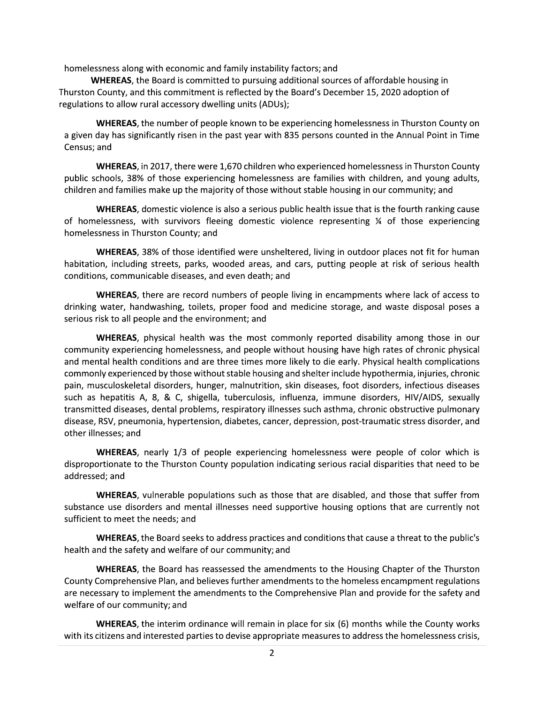homelessness along with economic and family instability factors; and

WHEREAS, the Board is committed to pursuing additional sources of affordable housing in Thurston County, and this commitment is reflected by the Board's December 15, 2020 adoption of regulations to allow rural accessory dwelling units (ADUs);

WHEREAS, the number of people known to be experiencing homelessness in Thurston County on a given day has significantly risen in the past year with 835 persons counted in the Annual Point in Time Census; and

WHEREAS, in 2017, there were 1,670 children who experienced homelessness in Thurston County public schools, 38% of those experiencing homelessness are families with children, and young adults, children and families make up the majority of those without stable housing in our community; and

WHEREAS, domestic violence is also a serious public health issue that is the fourth ranking cause of homelessness, with survivors fleeing domestic violence representing  $\frac{1}{4}$  of those experiencing homelessness in Thurston County; and

WHEREAS, 38% of those identified were unsheltered, living in outdoor places not fit for human habitation, including streets, parks, wooded areas, and cars, putting people at risk of serious health conditions, communicable diseases, and even death; and

**WHEREAS**, there are record numbers of people living in encampments where lack of access to drinking water, handwashing, toilets, proper food and medicine storage, and waste disposal poses a serious risk to all people and the environment; and

**WHEREAS**, physical health was the most commonly reported disability among those in our community experiencing homelessness, and people without housing have high rates of chronic physical and mental health conditions and are three times more likely to die early. Physical health complications commonly experienced by those without stable housing and shelter include hypothermia, injuries, chronic pain, musculoskeletal disorders, hunger, malnutrition, skin diseases, foot disorders, infectious diseases such as hepatitis A, 8, & C, shigella, tuberculosis, influenza, immune disorders, HIV/AIDS, sexually transmitted diseases, dental problems, respiratory illnesses such asthma, chronic obstructive pulmonary disease, RSV, pneumonia, hypertension, diabetes, cancer, depression, post-traumatic stress disorder, and other illnesses; and

**WHEREAS**, nearly 1/3 of people experiencing homelessness were people of color which is disproportionate to the Thurston County population indicating serious racial disparities that need to be addressed; and

**WHEREAS**, vulnerable populations such as those that are disabled, and those that suffer from substance use disorders and mental illnesses need supportive housing options that are currently not sufficient to meet the needs; and

WHEREAS, the Board seeks to address practices and conditions that cause a threat to the public's health and the safety and welfare of our community; and

WHEREAS, the Board has reassessed the amendments to the Housing Chapter of the Thurston County Comprehensive Plan, and believes further amendments to the homeless encampment regulations are necessary to implement the amendments to the Comprehensive Plan and provide for the safety and welfare of our community; and

**WHEREAS**, the interim ordinance will remain in place for six (6) months while the County works with its citizens and interested parties to devise appropriate measures to address the homelessness crisis,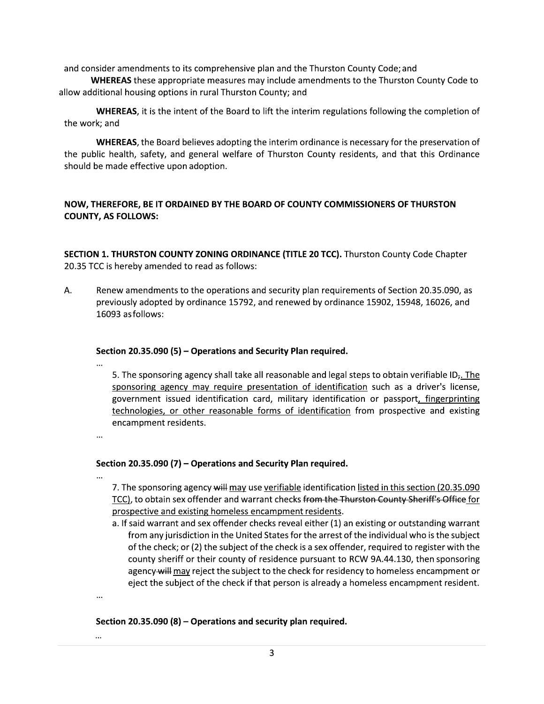and consider amendments to its comprehensive plan and the Thurston County Code; and

**WHEREAS** these appropriate measures may include amendments to the Thurston County Code to allow additional housing options in rural Thurston County; and

**WHEREAS**, it is the intent of the Board to lift the interim regulations following the completion of the work; and

WHEREAS, the Board believes adopting the interim ordinance is necessary for the preservation of the public health, safety, and general welfare of Thurston County residents, and that this Ordinance should be made effective upon adoption.

# NOW, THEREFORE, BE IT ORDAINED BY THE BOARD OF COUNTY COMMISSIONERS OF THURSTON **COUNTY, AS FOLLOWS:**

SECTION 1. THURSTON COUNTY ZONING ORDINANCE (TITLE 20 TCC). Thurston County Code Chapter 20.35 TCC is hereby amended to read as follows:

A. Renew amendments to the operations and security plan requirements of Section 20.35.090, as previously adopted by ordinance 15792, and renewed by ordinance 15902, 15948, 16026, and 16093 as follows:

## Section 20.35.090 (5) - Operations and Security Plan required.

5. The sponsoring agency shall take all reasonable and legal steps to obtain verifiable  $ID<sub>r</sub>$ . The sponsoring agency may require presentation of identification such as a driver's license, government issued identification card, military identification or passport, fingerprinting technologies, or other reasonable forms of identification from prospective and existing encampment residents.

 $\cdots$ 

# Section 20.35.090 (7) - Operations and Security Plan required.

7. The sponsoring agency will may use verifiable identification listed in this section (20.35.090) TCC), to obtain sex offender and warrant checks from the Thurston County Sheriff's Office for prospective and existing homeless encampment residents.

a. If said warrant and sex offender checks reveal either (1) an existing or outstanding warrant from any jurisdiction in the United States for the arrest of the individual who is the subject of the check; or (2) the subject of the check is a sex offender, required to register with the county sheriff or their county of residence pursuant to RCW 9A.44.130, then sponsoring agency-will may reject the subject to the check for residency to homeless encampment or eject the subject of the check if that person is already a homeless encampment resident.

 $\cdots$ 

# Section 20.35.090 (8) - Operations and security plan required.

 $\ddotsc$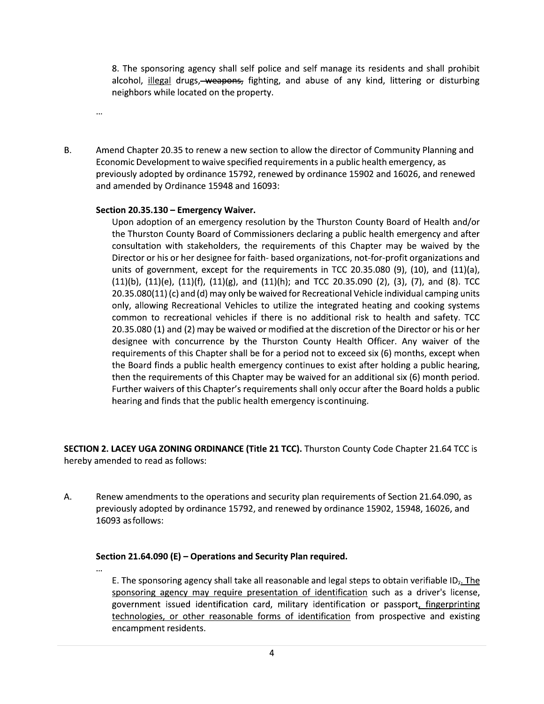8. The sponsoring agency shall self police and self manage its residents and shall prohibit alcohol, *illegal* drugs, weapons, fighting, and abuse of any kind, littering or disturbing neighbors while located on the property.

**B.** 

 $\cdots$ 

 $\ddotsc$ 

Amend Chapter 20.35 to renew a new section to allow the director of Community Planning and Economic Development to waive specified requirements in a public health emergency, as previously adopted by ordinance 15792, renewed by ordinance 15902 and 16026, and renewed and amended by Ordinance 15948 and 16093:

## Section 20.35.130 - Emergency Waiver.

Upon adoption of an emergency resolution by the Thurston County Board of Health and/or the Thurston County Board of Commissioners declaring a public health emergency and after consultation with stakeholders, the requirements of this Chapter may be waived by the Director or his or her designee for faith- based organizations, not-for-profit organizations and units of government, except for the requirements in TCC 20.35.080 (9), (10), and (11)(a),  $(11)(b)$ ,  $(11)(e)$ ,  $(11)(f)$ ,  $(11)(g)$ , and  $(11)(h)$ ; and TCC 20.35.090 (2), (3), (7), and (8). TCC 20.35.080(11) (c) and (d) may only be waived for Recreational Vehicle individual camping units only, allowing Recreational Vehicles to utilize the integrated heating and cooking systems common to recreational vehicles if there is no additional risk to health and safety. TCC 20.35.080 (1) and (2) may be waived or modified at the discretion of the Director or his or her designee with concurrence by the Thurston County Health Officer. Any waiver of the requirements of this Chapter shall be for a period not to exceed six (6) months, except when the Board finds a public health emergency continues to exist after holding a public hearing, then the requirements of this Chapter may be waived for an additional six (6) month period. Further waivers of this Chapter's requirements shall only occur after the Board holds a public hearing and finds that the public health emergency is continuing.

SECTION 2. LACEY UGA ZONING ORDINANCE (Title 21 TCC). Thurston County Code Chapter 21.64 TCC is hereby amended to read as follows:

А. Renew amendments to the operations and security plan requirements of Section 21.64.090, as previously adopted by ordinance 15792, and renewed by ordinance 15902, 15948, 16026, and 16093 as follows:

### Section 21.64.090 (E) - Operations and Security Plan required.

E. The sponsoring agency shall take all reasonable and legal steps to obtain verifiable  $ID<sub>r</sub>$ . The sponsoring agency may require presentation of identification such as a driver's license, government issued identification card, military identification or passport, fingerprinting technologies, or other reasonable forms of identification from prospective and existing encampment residents.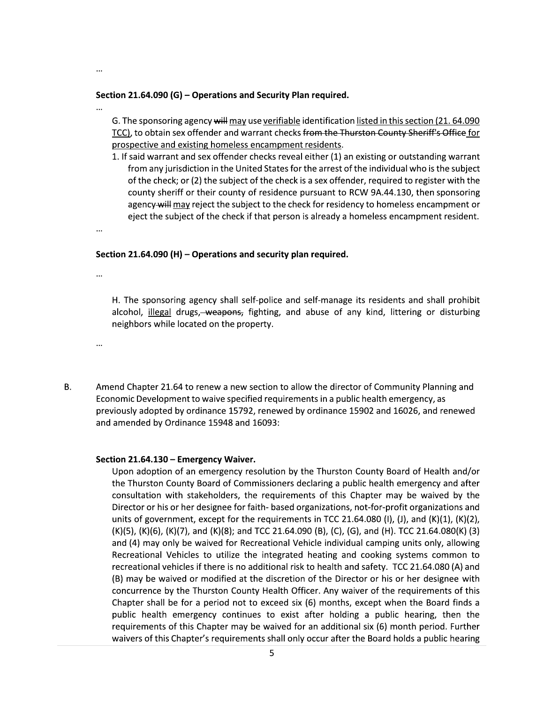### Section 21.64.090 (G) - Operations and Security Plan required.

G. The sponsoring agency will may use verifiable identification listed in this section (21. 64.090) TCC), to obtain sex offender and warrant checks from the Thurston County Sheriff's Office for prospective and existing homeless encampment residents.

1. If said warrant and sex offender checks reveal either (1) an existing or outstanding warrant from any jurisdiction in the United States for the arrest of the individual who is the subject of the check; or (2) the subject of the check is a sex offender, required to register with the county sheriff or their county of residence pursuant to RCW 9A.44.130, then sponsoring agency will may reject the subject to the check for residency to homeless encampment or eject the subject of the check if that person is already a homeless encampment resident.

...

...

...

### Section 21.64.090 (H) - Operations and security plan required.

 $\cdots$ 

 $\ddotsc$ 

H. The sponsoring agency shall self-police and self-manage its residents and shall prohibit alcohol, illegal drugs, weapons, fighting, and abuse of any kind, littering or disturbing neighbors while located on the property.

**B.** 

Amend Chapter 21.64 to renew a new section to allow the director of Community Planning and Economic Development to waive specified requirements in a public health emergency, as previously adopted by ordinance 15792, renewed by ordinance 15902 and 16026, and renewed and amended by Ordinance 15948 and 16093:

#### Section 21.64.130 - Emergency Waiver.

Upon adoption of an emergency resolution by the Thurston County Board of Health and/or the Thurston County Board of Commissioners declaring a public health emergency and after consultation with stakeholders, the requirements of this Chapter may be waived by the Director or his or her designee for faith- based organizations, not-for-profit organizations and units of government, except for the requirements in TCC 21.64.080 (I), (J), and (K)(1), (K)(2), (K)(5), (K)(6), (K)(7), and (K)(8); and TCC 21.64.090 (B), (C), (G), and (H). TCC 21.64.080(K) (3) and (4) may only be waived for Recreational Vehicle individual camping units only, allowing Recreational Vehicles to utilize the integrated heating and cooking systems common to recreational vehicles if there is no additional risk to health and safety. TCC 21.64.080 (A) and (B) may be waived or modified at the discretion of the Director or his or her designee with concurrence by the Thurston County Health Officer. Any waiver of the requirements of this Chapter shall be for a period not to exceed six (6) months, except when the Board finds a public health emergency continues to exist after holding a public hearing, then the requirements of this Chapter may be waived for an additional six (6) month period. Further waivers of this Chapter's requirements shall only occur after the Board holds a public hearing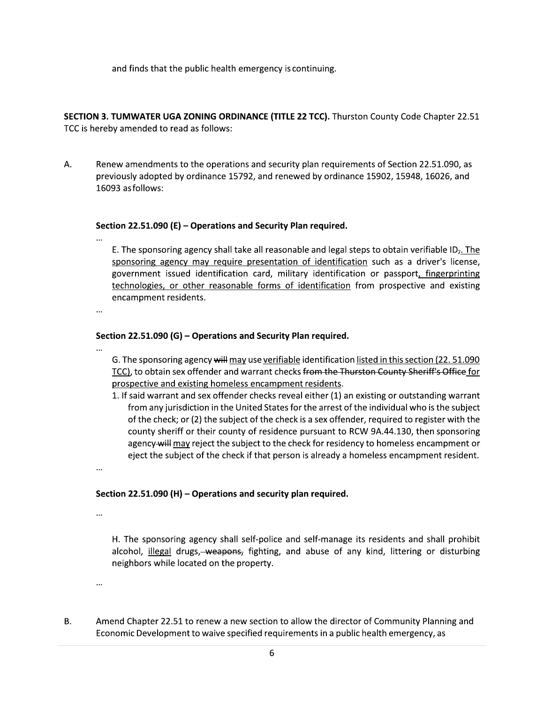and finds that the public health emergency is continuing.

SECTION 3. TUMWATER UGA ZONING ORDINANCE (TITLE 22 TCC). Thurston County Code Chapter 22.51 TCC is hereby amended to read as follows:

Α. Renew amendments to the operations and security plan requirements of Section 22.51.090, as previously adopted by ordinance 15792, and renewed by ordinance 15902, 15948, 16026, and 16093 as follows:

## Section 22.51.090 (E) - Operations and Security Plan required.

E. The sponsoring agency shall take all reasonable and legal steps to obtain verifiable  $ID<sub>r</sub>$ . The sponsoring agency may require presentation of identification such as a driver's license, government issued identification card, military identification or passport, fingerprinting technologies, or other reasonable forms of identification from prospective and existing encampment residents.

 $\ddotsc$ 

## Section 22.51.090 (G) - Operations and Security Plan required.

- G. The sponsoring agency will may use verifiable identification listed in this section (22. 51.090) TCC), to obtain sex offender and warrant checks from the Thurston County Sheriff's Office for prospective and existing homeless encampment residents.
- 1. If said warrant and sex offender checks reveal either (1) an existing or outstanding warrant from any jurisdiction in the United States for the arrest of the individual who is the subject of the check; or (2) the subject of the check is a sex offender, required to register with the county sheriff or their county of residence pursuant to RCW 9A.44.130, then sponsoring agency-will may reject the subject to the check for residency to homeless encampment or eject the subject of the check if that person is already a homeless encampment resident.

...

# Section 22.51.090 (H) - Operations and security plan required.

 $\ddotsc$ 

H. The sponsoring agency shall self-police and self-manage its residents and shall prohibit alcohol, illegal drugs, weapons, fighting, and abuse of any kind, littering or disturbing neighbors while located on the property.

 $\ddotsc$ 

**B.** Amend Chapter 22.51 to renew a new section to allow the director of Community Planning and Economic Development to waive specified requirements in a public health emergency, as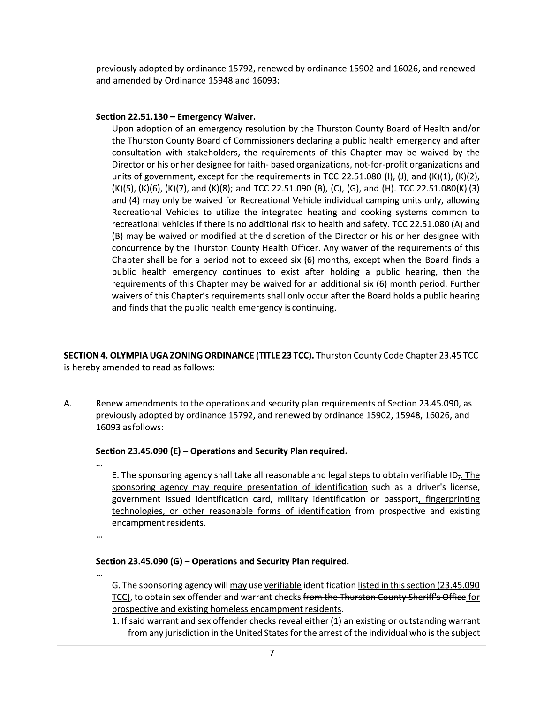previously adopted by ordinance 15792, renewed by ordinance 15902 and 16026, and renewed and amended by Ordinance 15948 and 16093:

## Section 22.51.130 - Emergency Waiver.

Upon adoption of an emergency resolution by the Thurston County Board of Health and/or the Thurston County Board of Commissioners declaring a public health emergency and after consultation with stakeholders, the requirements of this Chapter may be waived by the Director or his or her designee for faith- based organizations, not-for-profit organizations and units of government, except for the requirements in TCC 22.51.080 (I), (J), and  $(K)(1)$ ,  $(K)(2)$ , (K)(5), (K)(6), (K)(7), and (K)(8); and TCC 22.51.090 (B), (C), (G), and (H). TCC 22.51.080(K) (3) and (4) may only be waived for Recreational Vehicle individual camping units only, allowing Recreational Vehicles to utilize the integrated heating and cooking systems common to recreational vehicles if there is no additional risk to health and safety. TCC 22.51.080 (A) and (B) may be waived or modified at the discretion of the Director or his or her designee with concurrence by the Thurston County Health Officer. Any waiver of the requirements of this Chapter shall be for a period not to exceed six (6) months, except when the Board finds a public health emergency continues to exist after holding a public hearing, then the requirements of this Chapter may be waived for an additional six (6) month period. Further waivers of this Chapter's requirements shall only occur after the Board holds a public hearing and finds that the public health emergency is continuing.

SECTION 4. OLYMPIA UGA ZONING ORDINANCE (TITLE 23 TCC). Thurston County Code Chapter 23.45 TCC is hereby amended to read as follows:

А. Renew amendments to the operations and security plan requirements of Section 23.45.090, as previously adopted by ordinance 15792, and renewed by ordinance 15902, 15948, 16026, and 16093 as follows:

### Section 23.45.090 (E) - Operations and Security Plan required.

- E. The sponsoring agency shall take all reasonable and legal steps to obtain verifiable  $ID<sub>r</sub>$ . The sponsoring agency may require presentation of identification such as a driver's license, government issued identification card, military identification or passport, fingerprinting technologies, or other reasonable forms of identification from prospective and existing encampment residents.
- $\ddotsc$

## Section 23.45.090 (G) - Operations and Security Plan required.

- G. The sponsoring agency will may use verifiable identification listed in this section (23.45.090 TCC), to obtain sex offender and warrant checks from the Thurston County Sheriff's Office for prospective and existing homeless encampment residents.
- 1. If said warrant and sex offender checks reveal either (1) an existing or outstanding warrant from any jurisdiction in the United States for the arrest of the individual who is the subject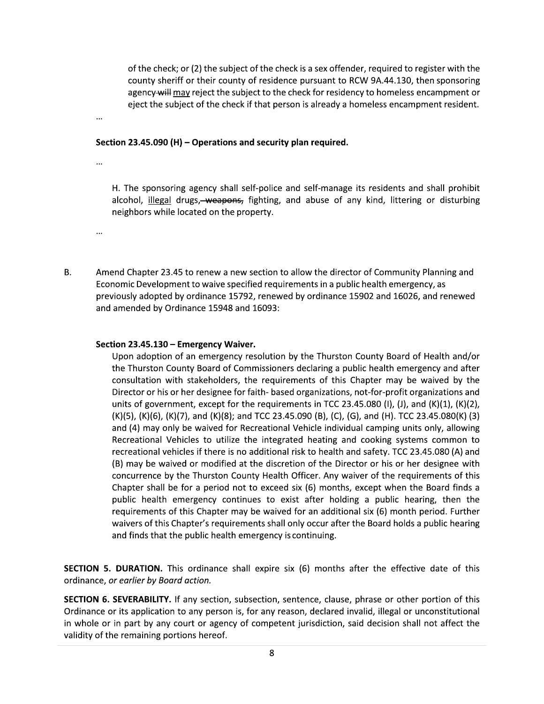of the check; or (2) the subject of the check is a sex offender, required to register with the county sheriff or their county of residence pursuant to RCW 9A.44.130, then sponsoring agency will may reject the subject to the check for residency to homeless encampment or eject the subject of the check if that person is already a homeless encampment resident.

Section 23.45.090 (H) - Operations and security plan required.

 $\cdots$ 

 $\ddotsc$ 

 $\ddotsc$ 

H. The sponsoring agency shall self-police and self-manage its residents and shall prohibit alcohol, *illegal* drugs, weapons, fighting, and abuse of any kind, littering or disturbing neighbors while located on the property.

**B.** 

Amend Chapter 23.45 to renew a new section to allow the director of Community Planning and Economic Development to waive specified requirements in a public health emergency, as previously adopted by ordinance 15792, renewed by ordinance 15902 and 16026, and renewed and amended by Ordinance 15948 and 16093:

# Section 23.45.130 - Emergency Waiver.

Upon adoption of an emergency resolution by the Thurston County Board of Health and/or the Thurston County Board of Commissioners declaring a public health emergency and after consultation with stakeholders, the requirements of this Chapter may be waived by the Director or his or her designee for faith- based organizations, not-for-profit organizations and units of government, except for the requirements in TCC 23.45.080 (I), (J), and (K)(1), (K)(2), (K)(5), (K)(6), (K)(7), and (K)(8); and TCC 23.45.090 (B), (C), (G), and (H). TCC 23.45.080(K) (3) and (4) may only be waived for Recreational Vehicle individual camping units only, allowing Recreational Vehicles to utilize the integrated heating and cooking systems common to recreational vehicles if there is no additional risk to health and safety. TCC 23.45.080 (A) and (B) may be waived or modified at the discretion of the Director or his or her designee with concurrence by the Thurston County Health Officer. Any waiver of the requirements of this Chapter shall be for a period not to exceed six (6) months, except when the Board finds a public health emergency continues to exist after holding a public hearing, then the requirements of this Chapter may be waived for an additional six (6) month period. Further waivers of this Chapter's requirements shall only occur after the Board holds a public hearing and finds that the public health emergency is continuing.

**SECTION 5. DURATION.** This ordinance shall expire six (6) months after the effective date of this ordinance, or earlier by Board action.

**SECTION 6. SEVERABILITY.** If any section, subsection, sentence, clause, phrase or other portion of this Ordinance or its application to any person is, for any reason, declared invalid, illegal or unconstitutional in whole or in part by any court or agency of competent jurisdiction, said decision shall not affect the validity of the remaining portions hereof.